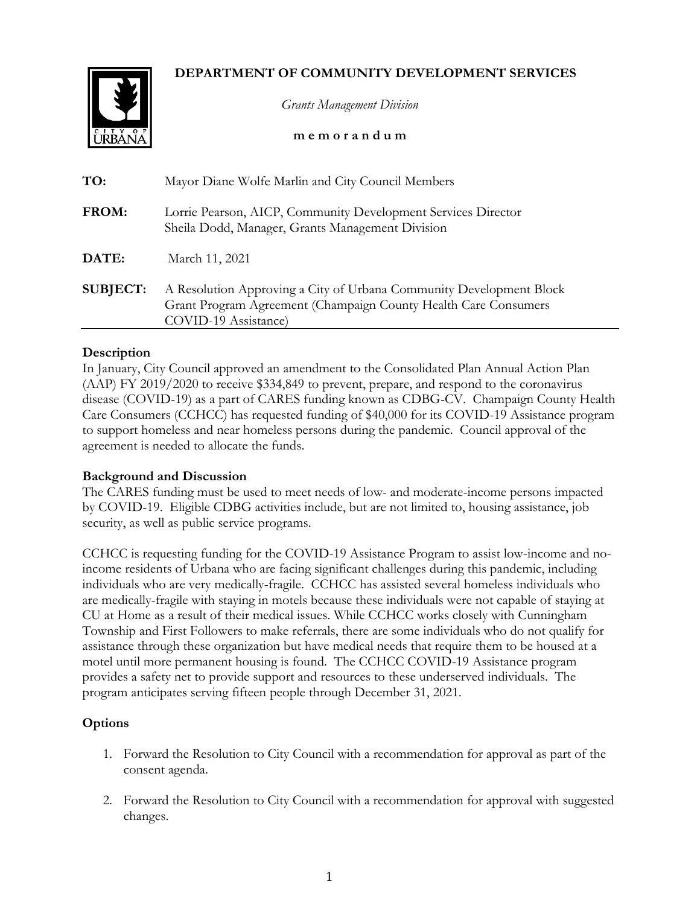# **DEPARTMENT OF COMMUNITY DEVELOPMENT SERVICES**



*Grants Management Division*

**m e m o r a n d u m**

| TO:             | Mayor Diane Wolfe Marlin and City Council Members                                                                                                              |
|-----------------|----------------------------------------------------------------------------------------------------------------------------------------------------------------|
| FROM:           | Lorrie Pearson, AICP, Community Development Services Director<br>Sheila Dodd, Manager, Grants Management Division                                              |
| DATE:           | March 11, 2021                                                                                                                                                 |
| <b>SUBJECT:</b> | A Resolution Approving a City of Urbana Community Development Block<br>Grant Program Agreement (Champaign County Health Care Consumers<br>COVID-19 Assistance) |

### **Description**

In January, City Council approved an amendment to the Consolidated Plan Annual Action Plan (AAP) FY 2019/2020 to receive \$334,849 to prevent, prepare, and respond to the coronavirus disease (COVID-19) as a part of CARES funding known as CDBG-CV. Champaign County Health Care Consumers (CCHCC) has requested funding of \$40,000 for its COVID-19 Assistance program to support homeless and near homeless persons during the pandemic. Council approval of the agreement is needed to allocate the funds.

### **Background and Discussion**

The CARES funding must be used to meet needs of low- and moderate-income persons impacted by COVID-19. Eligible CDBG activities include, but are not limited to, housing assistance, job security, as well as public service programs.

CCHCC is requesting funding for the COVID-19 Assistance Program to assist low-income and noincome residents of Urbana who are facing significant challenges during this pandemic, including individuals who are very medically-fragile. CCHCC has assisted several homeless individuals who are medically-fragile with staying in motels because these individuals were not capable of staying at CU at Home as a result of their medical issues. While CCHCC works closely with Cunningham Township and First Followers to make referrals, there are some individuals who do not qualify for assistance through these organization but have medical needs that require them to be housed at a motel until more permanent housing is found. The CCHCC COVID-19 Assistance program provides a safety net to provide support and resources to these underserved individuals. The program anticipates serving fifteen people through December 31, 2021.

## **Options**

- 1. Forward the Resolution to City Council with a recommendation for approval as part of the consent agenda.
- 2. Forward the Resolution to City Council with a recommendation for approval with suggested changes.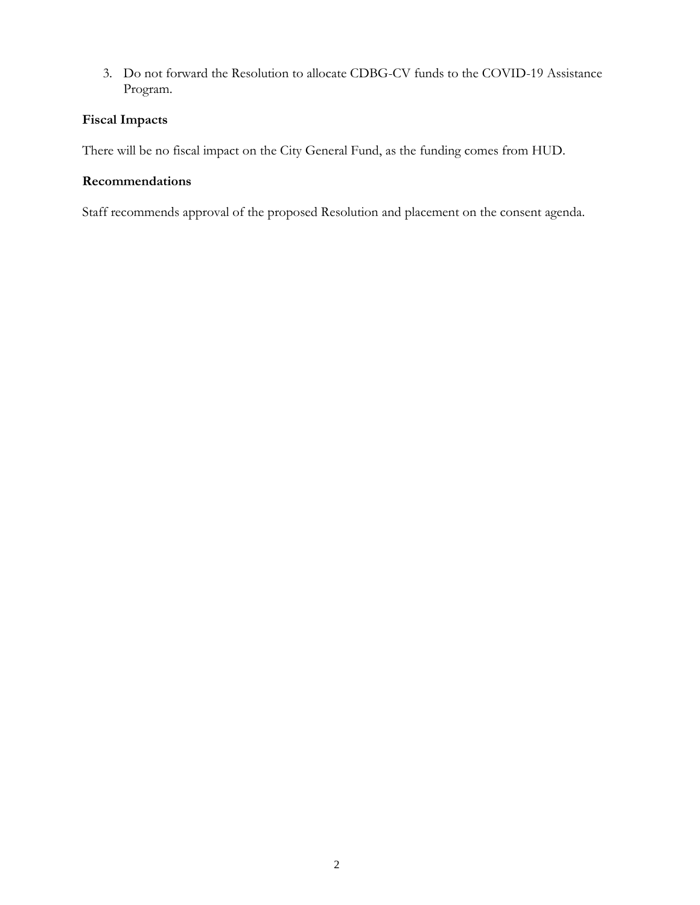3. Do not forward the Resolution to allocate CDBG-CV funds to the COVID-19 Assistance Program.

# **Fiscal Impacts**

There will be no fiscal impact on the City General Fund, as the funding comes from HUD.

## **Recommendations**

Staff recommends approval of the proposed Resolution and placement on the consent agenda.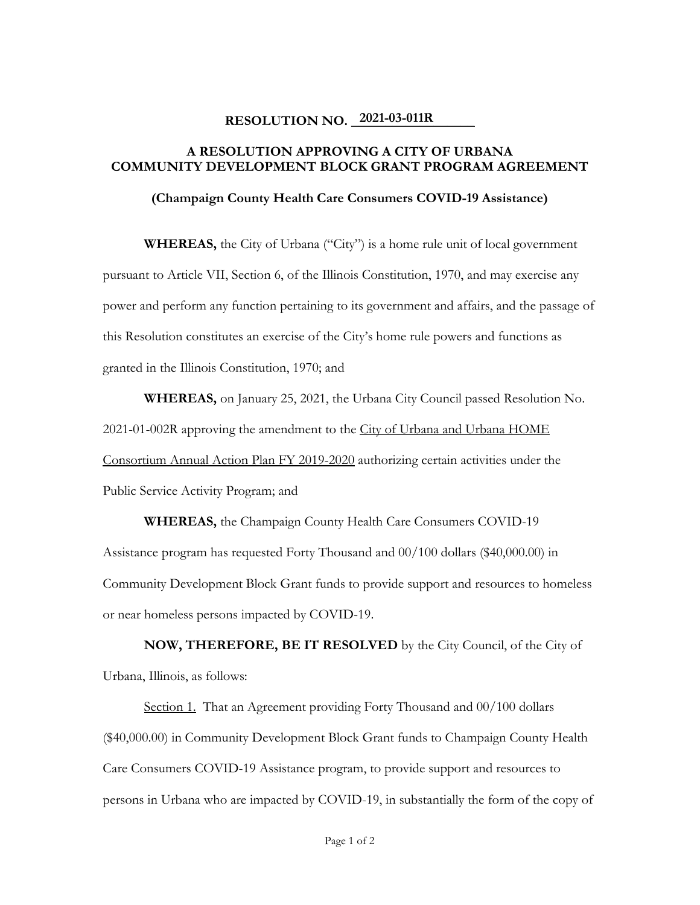# **RESOLUTION NO.** 2021-03-011R

## **A RESOLUTION APPROVING A CITY OF URBANA COMMUNITY DEVELOPMENT BLOCK GRANT PROGRAM AGREEMENT**

**(Champaign County Health Care Consumers COVID-19 Assistance)** 

**WHEREAS,** the City of Urbana ("City") is a home rule unit of local government pursuant to Article VII, Section 6, of the Illinois Constitution, 1970, and may exercise any power and perform any function pertaining to its government and affairs, and the passage of this Resolution constitutes an exercise of the City's home rule powers and functions as granted in the Illinois Constitution, 1970; and

**WHEREAS,** on January 25, 2021, the Urbana City Council passed Resolution No. 2021-01-002R approving the amendment to the City of Urbana and Urbana HOME Consortium Annual Action Plan FY 2019-2020 authorizing certain activities under the Public Service Activity Program; and

**WHEREAS,** the Champaign County Health Care Consumers COVID-19 Assistance program has requested Forty Thousand and 00/100 dollars (\$40,000.00) in Community Development Block Grant funds to provide support and resources to homeless or near homeless persons impacted by COVID-19.

**NOW, THEREFORE, BE IT RESOLVED** by the City Council, of the City of Urbana, Illinois, as follows:

Section 1. That an Agreement providing Forty Thousand and 00/100 dollars (\$40,000.00) in Community Development Block Grant funds to Champaign County Health Care Consumers COVID-19 Assistance program, to provide support and resources to persons in Urbana who are impacted by COVID-19, in substantially the form of the copy of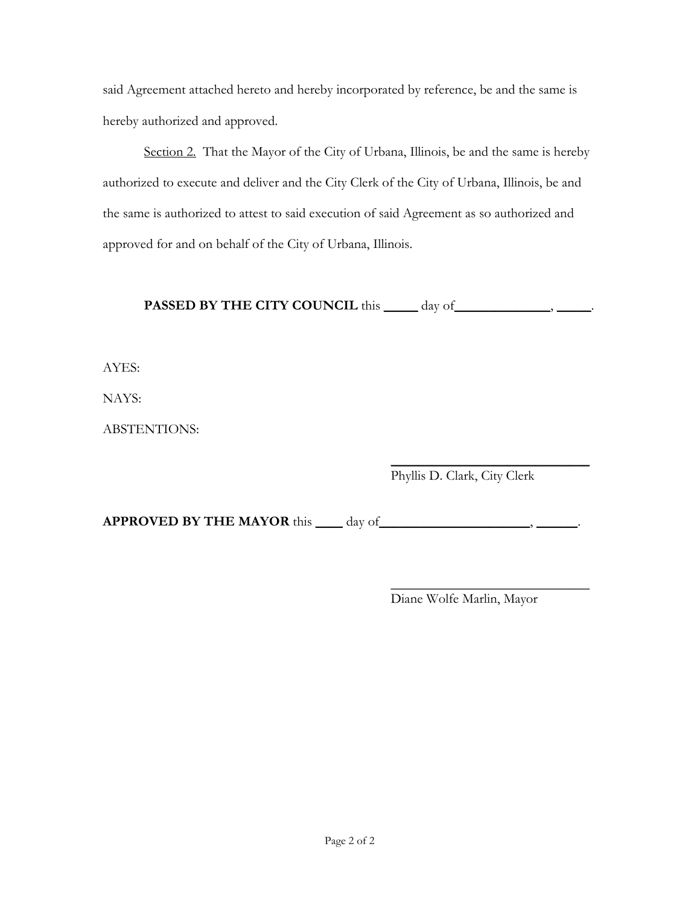said Agreement attached hereto and hereby incorporated by reference, be and the same is hereby authorized and approved.

Section 2. That the Mayor of the City of Urbana, Illinois, be and the same is hereby authorized to execute and deliver and the City Clerk of the City of Urbana, Illinois, be and the same is authorized to attest to said execution of said Agreement as so authorized and approved for and on behalf of the City of Urbana, Illinois.

**PASSED BY THE CITY COUNCIL** this \_\_\_\_\_ day of \_\_\_\_\_\_\_\_\_\_\_\_, \_\_\_\_\_\_.

AYES:

NAYS:

ABSTENTIONS:

 $\overline{\phantom{a}}$  , where  $\overline{\phantom{a}}$  , where  $\overline{\phantom{a}}$  , where  $\overline{\phantom{a}}$ Phyllis D. Clark, City Clerk

**APPROVED BY THE MAYOR** this \_\_\_\_ day of \_\_\_\_\_\_\_\_\_\_\_\_\_\_\_\_\_\_\_\_\_\_\_\_, \_\_\_\_\_\_\_\_.

 $\overline{\phantom{a}}$  , where  $\overline{\phantom{a}}$  , where  $\overline{\phantom{a}}$  , where  $\overline{\phantom{a}}$ Diane Wolfe Marlin, Mayor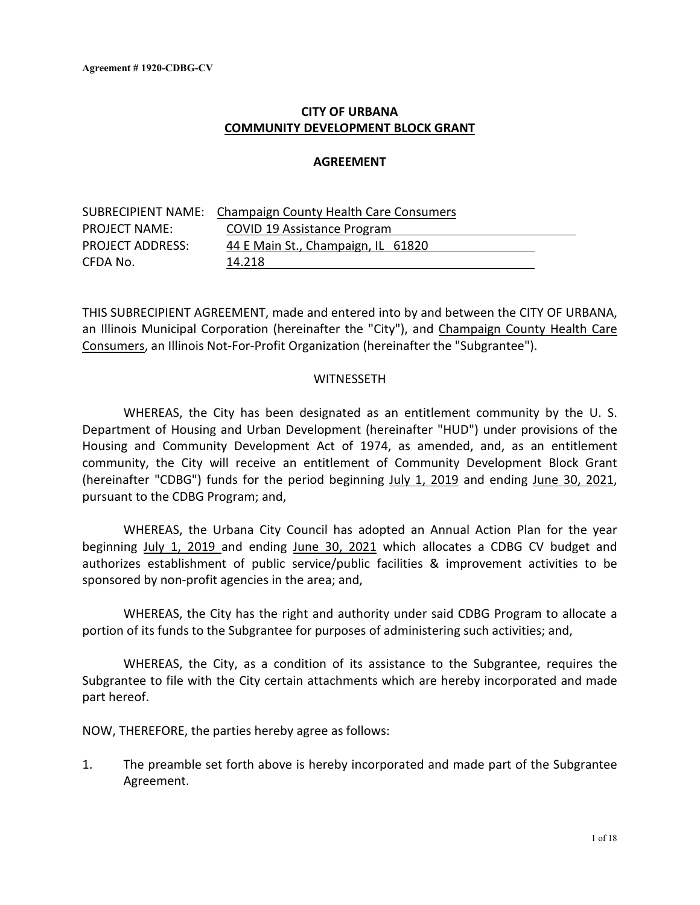# **CITY OF URBANA COMMUNITY DEVELOPMENT BLOCK GRANT**

### **AGREEMENT**

|                         | <b>SUBRECIPIENT NAME: Champaign County Health Care Consumers</b> |
|-------------------------|------------------------------------------------------------------|
| <b>PROJECT NAME:</b>    | COVID 19 Assistance Program                                      |
| <b>PROJECT ADDRESS:</b> | 44 E Main St., Champaign, IL 61820                               |
| CFDA No.                | 14.218                                                           |

THIS SUBRECIPIENT AGREEMENT, made and entered into by and between the CITY OF URBANA, an Illinois Municipal Corporation (hereinafter the "City"), and Champaign County Health Care Consumers, an Illinois Not-For-Profit Organization (hereinafter the "Subgrantee").

### WITNESSETH

WHEREAS, the City has been designated as an entitlement community by the U. S. Department of Housing and Urban Development (hereinafter "HUD") under provisions of the Housing and Community Development Act of 1974, as amended, and, as an entitlement community, the City will receive an entitlement of Community Development Block Grant (hereinafter "CDBG") funds for the period beginning July 1, 2019 and ending June 30, 2021, pursuant to the CDBG Program; and,

WHEREAS, the Urbana City Council has adopted an Annual Action Plan for the year beginning July 1, 2019 and ending June 30, 2021 which allocates a CDBG CV budget and authorizes establishment of public service/public facilities & improvement activities to be sponsored by non-profit agencies in the area; and,

WHEREAS, the City has the right and authority under said CDBG Program to allocate a portion of its funds to the Subgrantee for purposes of administering such activities; and,

WHEREAS, the City, as a condition of its assistance to the Subgrantee, requires the Subgrantee to file with the City certain attachments which are hereby incorporated and made part hereof.

NOW, THEREFORE, the parties hereby agree as follows:

1. The preamble set forth above is hereby incorporated and made part of the Subgrantee Agreement.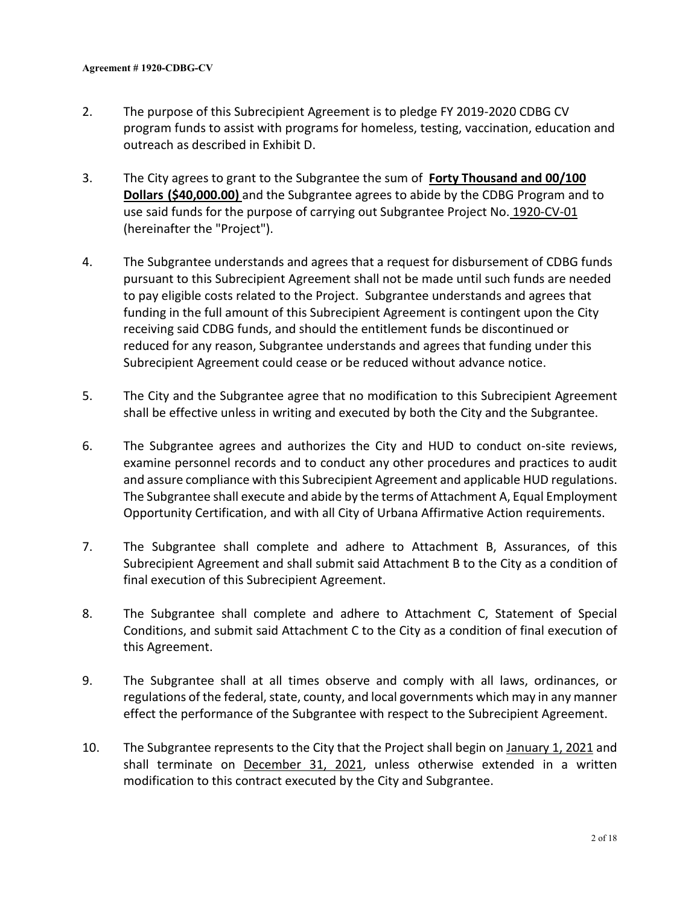- 2. The purpose of this Subrecipient Agreement is to pledge FY 2019-2020 CDBG CV program funds to assist with programs for homeless, testing, vaccination, education and outreach as described in Exhibit D.
- 3. The City agrees to grant to the Subgrantee the sum of **Forty Thousand and 00/100 Dollars (\$40,000.00)** and the Subgrantee agrees to abide by the CDBG Program and to use said funds for the purpose of carrying out Subgrantee Project No. 1920-CV-01 (hereinafter the "Project").
- 4. The Subgrantee understands and agrees that a request for disbursement of CDBG funds pursuant to this Subrecipient Agreement shall not be made until such funds are needed to pay eligible costs related to the Project. Subgrantee understands and agrees that funding in the full amount of this Subrecipient Agreement is contingent upon the City receiving said CDBG funds, and should the entitlement funds be discontinued or reduced for any reason, Subgrantee understands and agrees that funding under this Subrecipient Agreement could cease or be reduced without advance notice.
- 5. The City and the Subgrantee agree that no modification to this Subrecipient Agreement shall be effective unless in writing and executed by both the City and the Subgrantee.
- 6. The Subgrantee agrees and authorizes the City and HUD to conduct on-site reviews, examine personnel records and to conduct any other procedures and practices to audit and assure compliance with this Subrecipient Agreement and applicable HUD regulations. The Subgrantee shall execute and abide by the terms of Attachment A, Equal Employment Opportunity Certification, and with all City of Urbana Affirmative Action requirements.
- 7. The Subgrantee shall complete and adhere to Attachment B, Assurances, of this Subrecipient Agreement and shall submit said Attachment B to the City as a condition of final execution of this Subrecipient Agreement.
- 8. The Subgrantee shall complete and adhere to Attachment C, Statement of Special Conditions, and submit said Attachment C to the City as a condition of final execution of this Agreement.
- 9. The Subgrantee shall at all times observe and comply with all laws, ordinances, or regulations of the federal, state, county, and local governments which may in any manner effect the performance of the Subgrantee with respect to the Subrecipient Agreement.
- 10. The Subgrantee represents to the City that the Project shall begin on January 1, 2021 and shall terminate on December 31, 2021, unless otherwise extended in a written modification to this contract executed by the City and Subgrantee.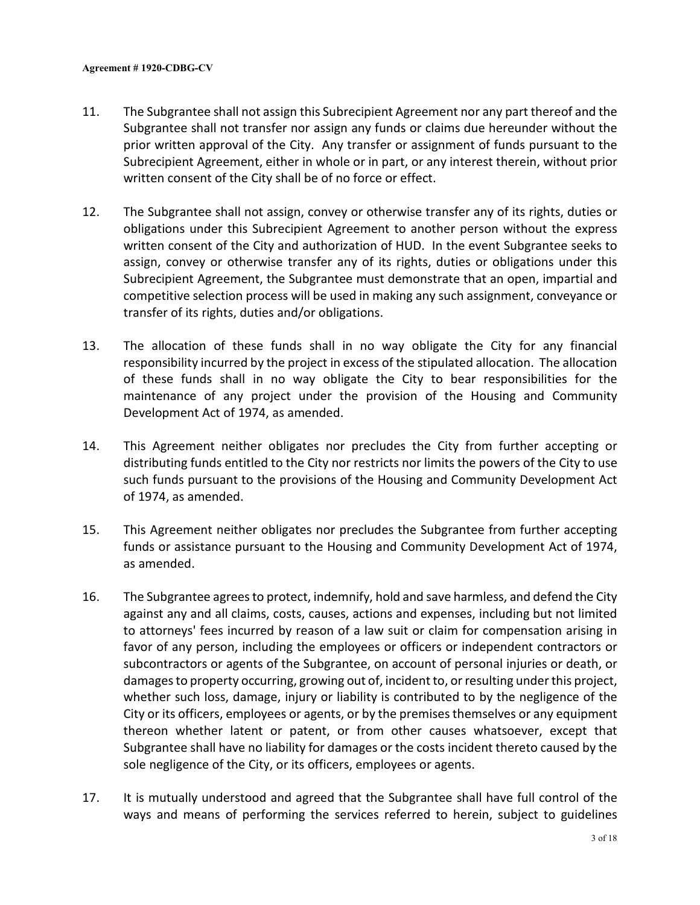- 11. The Subgrantee shall not assign this Subrecipient Agreement nor any part thereof and the Subgrantee shall not transfer nor assign any funds or claims due hereunder without the prior written approval of the City. Any transfer or assignment of funds pursuant to the Subrecipient Agreement, either in whole or in part, or any interest therein, without prior written consent of the City shall be of no force or effect.
- 12. The Subgrantee shall not assign, convey or otherwise transfer any of its rights, duties or obligations under this Subrecipient Agreement to another person without the express written consent of the City and authorization of HUD. In the event Subgrantee seeks to assign, convey or otherwise transfer any of its rights, duties or obligations under this Subrecipient Agreement, the Subgrantee must demonstrate that an open, impartial and competitive selection process will be used in making any such assignment, conveyance or transfer of its rights, duties and/or obligations.
- 13. The allocation of these funds shall in no way obligate the City for any financial responsibility incurred by the project in excess of the stipulated allocation. The allocation of these funds shall in no way obligate the City to bear responsibilities for the maintenance of any project under the provision of the Housing and Community Development Act of 1974, as amended.
- 14. This Agreement neither obligates nor precludes the City from further accepting or distributing funds entitled to the City nor restricts nor limits the powers of the City to use such funds pursuant to the provisions of the Housing and Community Development Act of 1974, as amended.
- 15. This Agreement neither obligates nor precludes the Subgrantee from further accepting funds or assistance pursuant to the Housing and Community Development Act of 1974, as amended.
- 16. The Subgrantee agrees to protect, indemnify, hold and save harmless, and defend the City against any and all claims, costs, causes, actions and expenses, including but not limited to attorneys' fees incurred by reason of a law suit or claim for compensation arising in favor of any person, including the employees or officers or independent contractors or subcontractors or agents of the Subgrantee, on account of personal injuries or death, or damages to property occurring, growing out of, incident to, or resulting under this project, whether such loss, damage, injury or liability is contributed to by the negligence of the City or its officers, employees or agents, or by the premises themselves or any equipment thereon whether latent or patent, or from other causes whatsoever, except that Subgrantee shall have no liability for damages or the costs incident thereto caused by the sole negligence of the City, or its officers, employees or agents.
- 17. It is mutually understood and agreed that the Subgrantee shall have full control of the ways and means of performing the services referred to herein, subject to guidelines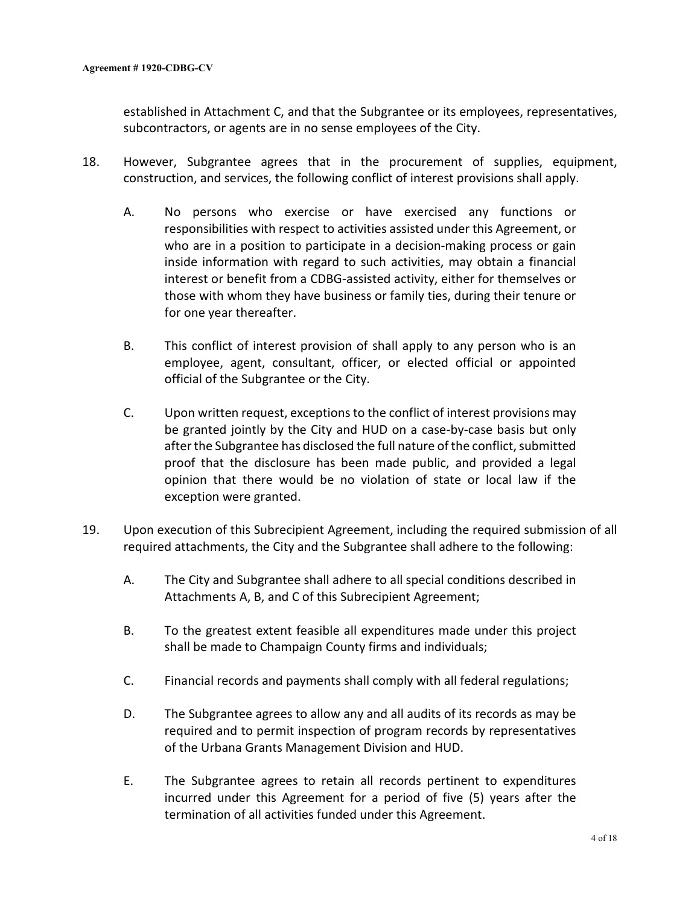established in Attachment C, and that the Subgrantee or its employees, representatives, subcontractors, or agents are in no sense employees of the City.

- 18. However, Subgrantee agrees that in the procurement of supplies, equipment, construction, and services, the following conflict of interest provisions shall apply.
	- A. No persons who exercise or have exercised any functions or responsibilities with respect to activities assisted under this Agreement, or who are in a position to participate in a decision-making process or gain inside information with regard to such activities, may obtain a financial interest or benefit from a CDBG-assisted activity, either for themselves or those with whom they have business or family ties, during their tenure or for one year thereafter.
	- B. This conflict of interest provision of shall apply to any person who is an employee, agent, consultant, officer, or elected official or appointed official of the Subgrantee or the City.
	- C. Upon written request, exceptionsto the conflict of interest provisions may be granted jointly by the City and HUD on a case-by-case basis but only after the Subgrantee has disclosed the full nature of the conflict, submitted proof that the disclosure has been made public, and provided a legal opinion that there would be no violation of state or local law if the exception were granted.
- 19. Upon execution of this Subrecipient Agreement, including the required submission of all required attachments, the City and the Subgrantee shall adhere to the following:
	- A. The City and Subgrantee shall adhere to all special conditions described in Attachments A, B, and C of this Subrecipient Agreement;
	- B. To the greatest extent feasible all expenditures made under this project shall be made to Champaign County firms and individuals;
	- C. Financial records and payments shall comply with all federal regulations;
	- D. The Subgrantee agrees to allow any and all audits of its records as may be required and to permit inspection of program records by representatives of the Urbana Grants Management Division and HUD.
	- E. The Subgrantee agrees to retain all records pertinent to expenditures incurred under this Agreement for a period of five (5) years after the termination of all activities funded under this Agreement.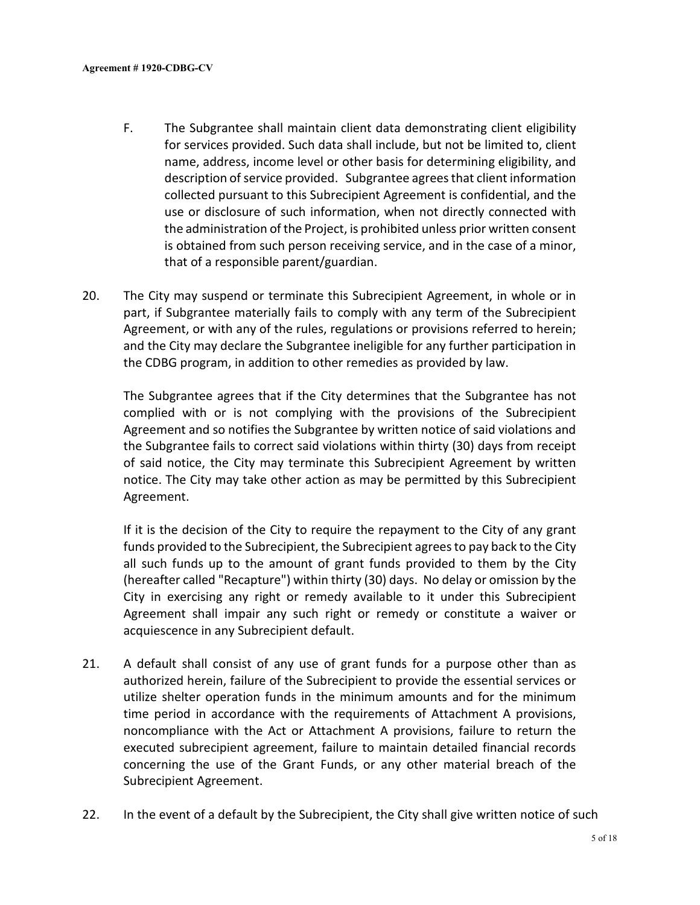- F. The Subgrantee shall maintain client data demonstrating client eligibility for services provided. Such data shall include, but not be limited to, client name, address, income level or other basis for determining eligibility, and description of service provided. Subgrantee agrees that client information collected pursuant to this Subrecipient Agreement is confidential, and the use or disclosure of such information, when not directly connected with the administration of the Project, is prohibited unless prior written consent is obtained from such person receiving service, and in the case of a minor, that of a responsible parent/guardian.
- 20. The City may suspend or terminate this Subrecipient Agreement, in whole or in part, if Subgrantee materially fails to comply with any term of the Subrecipient Agreement, or with any of the rules, regulations or provisions referred to herein; and the City may declare the Subgrantee ineligible for any further participation in the CDBG program, in addition to other remedies as provided by law.

The Subgrantee agrees that if the City determines that the Subgrantee has not complied with or is not complying with the provisions of the Subrecipient Agreement and so notifies the Subgrantee by written notice of said violations and the Subgrantee fails to correct said violations within thirty (30) days from receipt of said notice, the City may terminate this Subrecipient Agreement by written notice. The City may take other action as may be permitted by this Subrecipient Agreement.

If it is the decision of the City to require the repayment to the City of any grant funds provided to the Subrecipient, the Subrecipient agrees to pay back to the City all such funds up to the amount of grant funds provided to them by the City (hereafter called "Recapture") within thirty (30) days. No delay or omission by the City in exercising any right or remedy available to it under this Subrecipient Agreement shall impair any such right or remedy or constitute a waiver or acquiescence in any Subrecipient default.

- 21. A default shall consist of any use of grant funds for a purpose other than as authorized herein, failure of the Subrecipient to provide the essential services or utilize shelter operation funds in the minimum amounts and for the minimum time period in accordance with the requirements of Attachment A provisions, noncompliance with the Act or Attachment A provisions, failure to return the executed subrecipient agreement, failure to maintain detailed financial records concerning the use of the Grant Funds, or any other material breach of the Subrecipient Agreement.
- 22. In the event of a default by the Subrecipient, the City shall give written notice of such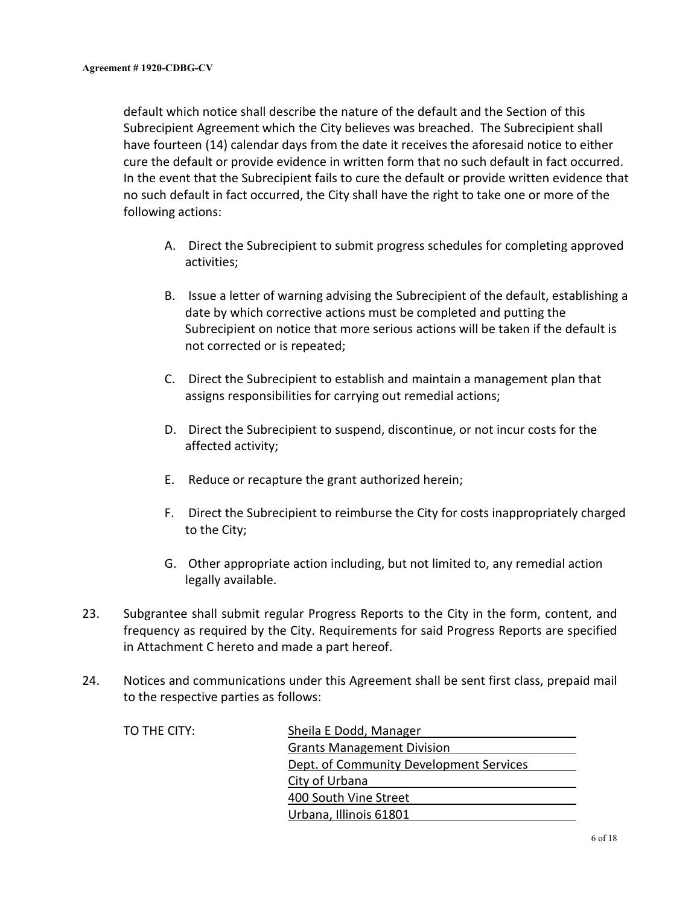default which notice shall describe the nature of the default and the Section of this Subrecipient Agreement which the City believes was breached. The Subrecipient shall have fourteen (14) calendar days from the date it receives the aforesaid notice to either cure the default or provide evidence in written form that no such default in fact occurred. In the event that the Subrecipient fails to cure the default or provide written evidence that no such default in fact occurred, the City shall have the right to take one or more of the following actions:

- A. Direct the Subrecipient to submit progress schedules for completing approved activities;
- B. Issue a letter of warning advising the Subrecipient of the default, establishing a date by which corrective actions must be completed and putting the Subrecipient on notice that more serious actions will be taken if the default is not corrected or is repeated;
- C. Direct the Subrecipient to establish and maintain a management plan that assigns responsibilities for carrying out remedial actions;
- D. Direct the Subrecipient to suspend, discontinue, or not incur costs for the affected activity;
- E. Reduce or recapture the grant authorized herein;
- F. Direct the Subrecipient to reimburse the City for costs inappropriately charged to the City;
- G. Other appropriate action including, but not limited to, any remedial action legally available.
- 23. Subgrantee shall submit regular Progress Reports to the City in the form, content, and frequency as required by the City. Requirements for said Progress Reports are specified in Attachment C hereto and made a part hereof.
- 24. Notices and communications under this Agreement shall be sent first class, prepaid mail to the respective parties as follows:

| TO THE CITY: | Sheila E Dodd, Manager                  |
|--------------|-----------------------------------------|
|              | <b>Grants Management Division</b>       |
|              | Dept. of Community Development Services |
|              | City of Urbana                          |
|              | 400 South Vine Street                   |
|              | Urbana, Illinois 61801                  |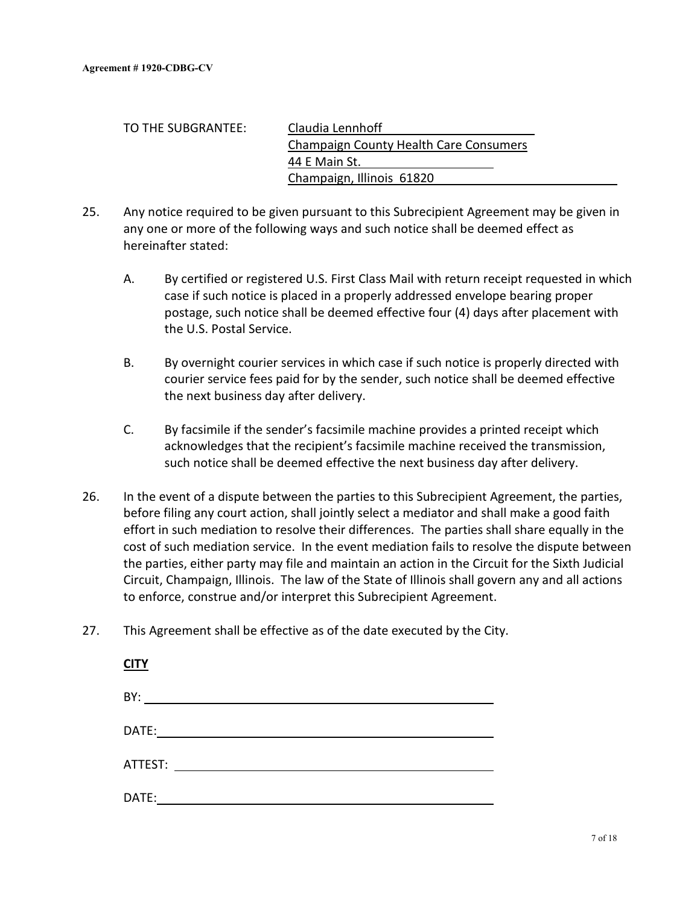| TO THE SUBGRANTEE: | Claudia Lennhoff                              |
|--------------------|-----------------------------------------------|
|                    | <b>Champaign County Health Care Consumers</b> |
|                    | 44 E Main St.                                 |
|                    | Champaign, Illinois 61820                     |

- 25. Any notice required to be given pursuant to this Subrecipient Agreement may be given in any one or more of the following ways and such notice shall be deemed effect as hereinafter stated:
	- A. By certified or registered U.S. First Class Mail with return receipt requested in which case if such notice is placed in a properly addressed envelope bearing proper postage, such notice shall be deemed effective four (4) days after placement with the U.S. Postal Service.
	- B. By overnight courier services in which case if such notice is properly directed with courier service fees paid for by the sender, such notice shall be deemed effective the next business day after delivery.
	- C. By facsimile if the sender's facsimile machine provides a printed receipt which acknowledges that the recipient's facsimile machine received the transmission, such notice shall be deemed effective the next business day after delivery.
- 26. In the event of a dispute between the parties to this Subrecipient Agreement, the parties, before filing any court action, shall jointly select a mediator and shall make a good faith effort in such mediation to resolve their differences. The parties shall share equally in the cost of such mediation service. In the event mediation fails to resolve the dispute between the parties, either party may file and maintain an action in the Circuit for the Sixth Judicial Circuit, Champaign, Illinois. The law of the State of Illinois shall govern any and all actions to enforce, construe and/or interpret this Subrecipient Agreement.
- 27. This Agreement shall be effective as of the date executed by the City.

| <b>CITY</b> |  |
|-------------|--|
| BY:         |  |
| DATE:       |  |
| ATTEST:     |  |
| DATE:       |  |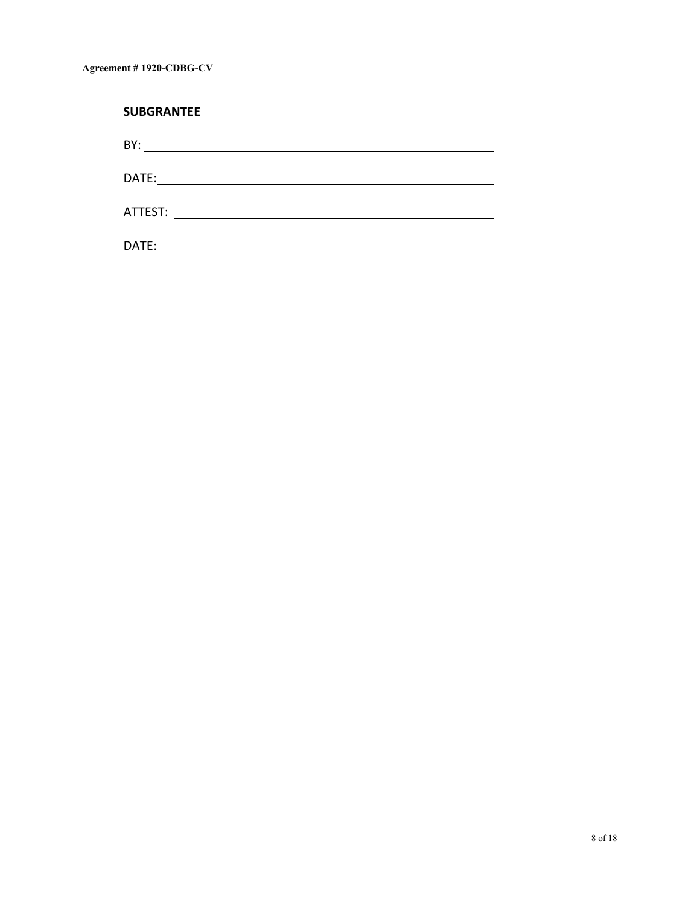| <b>SUBGRANTEE</b>                                                                                                           |  |
|-----------------------------------------------------------------------------------------------------------------------------|--|
| BY:<br><u> 1980 - Jan Samuel Barbara, martin da shekara 1980 - An tsa a tsa a tsa a tsa a tsa a tsa a tsa a tsa a tsa a</u> |  |
| DATE:                                                                                                                       |  |
| ATTEST:                                                                                                                     |  |
| DATE:                                                                                                                       |  |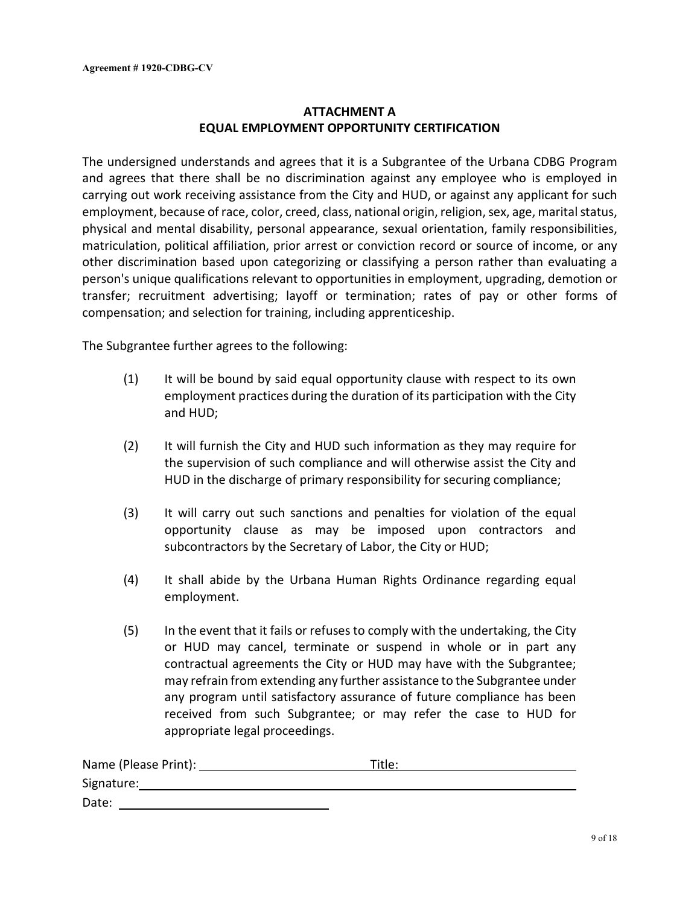# **ATTACHMENT A EQUAL EMPLOYMENT OPPORTUNITY CERTIFICATION**

The undersigned understands and agrees that it is a Subgrantee of the Urbana CDBG Program and agrees that there shall be no discrimination against any employee who is employed in carrying out work receiving assistance from the City and HUD, or against any applicant for such employment, because of race, color, creed, class, national origin, religion, sex, age, marital status, physical and mental disability, personal appearance, sexual orientation, family responsibilities, matriculation, political affiliation, prior arrest or conviction record or source of income, or any other discrimination based upon categorizing or classifying a person rather than evaluating a person's unique qualifications relevant to opportunities in employment, upgrading, demotion or transfer; recruitment advertising; layoff or termination; rates of pay or other forms of compensation; and selection for training, including apprenticeship.

The Subgrantee further agrees to the following:

- (1) It will be bound by said equal opportunity clause with respect to its own employment practices during the duration of its participation with the City and HUD;
- (2) It will furnish the City and HUD such information as they may require for the supervision of such compliance and will otherwise assist the City and HUD in the discharge of primary responsibility for securing compliance;
- (3) It will carry out such sanctions and penalties for violation of the equal opportunity clause as may be imposed upon contractors and subcontractors by the Secretary of Labor, the City or HUD;
- (4) It shall abide by the Urbana Human Rights Ordinance regarding equal employment.
- (5) In the event that it fails or refuses to comply with the undertaking, the City or HUD may cancel, terminate or suspend in whole or in part any contractual agreements the City or HUD may have with the Subgrantee; may refrain from extending any further assistance to the Subgrantee under any program until satisfactory assurance of future compliance has been received from such Subgrantee; or may refer the case to HUD for appropriate legal proceedings.

| Name (Please Print): | Title: |  |
|----------------------|--------|--|
| Signature:           |        |  |
| Date:                |        |  |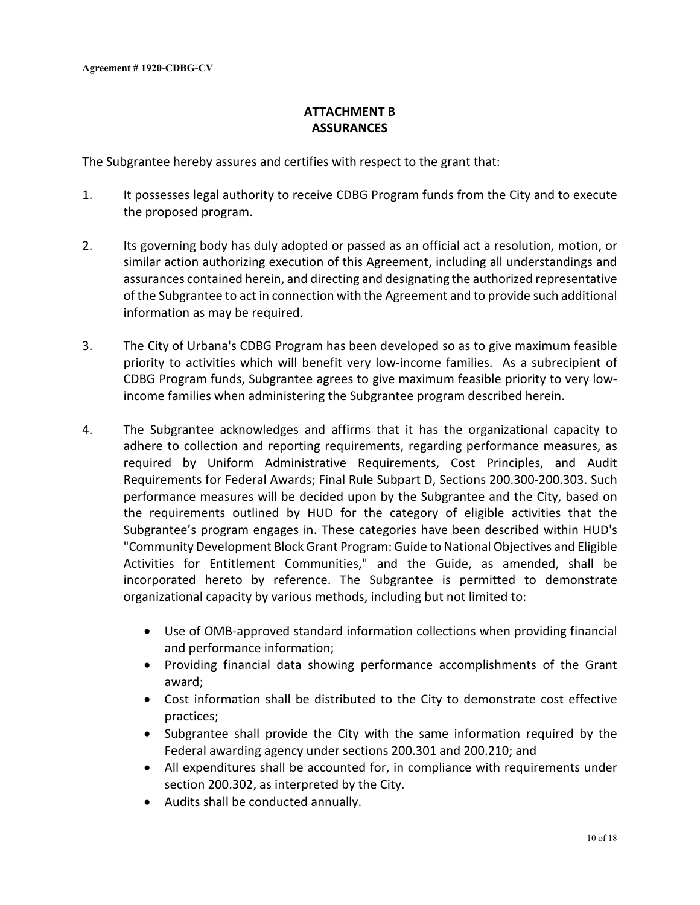# **ATTACHMENT B ASSURANCES**

The Subgrantee hereby assures and certifies with respect to the grant that:

- 1. It possesses legal authority to receive CDBG Program funds from the City and to execute the proposed program.
- 2. Its governing body has duly adopted or passed as an official act a resolution, motion, or similar action authorizing execution of this Agreement, including all understandings and assurances contained herein, and directing and designating the authorized representative of the Subgrantee to act in connection with the Agreement and to provide such additional information as may be required.
- 3. The City of Urbana's CDBG Program has been developed so as to give maximum feasible priority to activities which will benefit very low-income families. As a subrecipient of CDBG Program funds, Subgrantee agrees to give maximum feasible priority to very lowincome families when administering the Subgrantee program described herein.
- 4. The Subgrantee acknowledges and affirms that it has the organizational capacity to adhere to collection and reporting requirements, regarding performance measures, as required by Uniform Administrative Requirements, Cost Principles, and Audit Requirements for Federal Awards; Final Rule Subpart D, Sections 200.300-200.303. Such performance measures will be decided upon by the Subgrantee and the City, based on the requirements outlined by HUD for the category of eligible activities that the Subgrantee's program engages in. These categories have been described within HUD's "Community Development Block Grant Program: Guide to National Objectives and Eligible Activities for Entitlement Communities," and the Guide, as amended, shall be incorporated hereto by reference. The Subgrantee is permitted to demonstrate organizational capacity by various methods, including but not limited to:
	- Use of OMB-approved standard information collections when providing financial and performance information;
	- Providing financial data showing performance accomplishments of the Grant award;
	- Cost information shall be distributed to the City to demonstrate cost effective practices;
	- Subgrantee shall provide the City with the same information required by the Federal awarding agency under sections 200.301 and 200.210; and
	- All expenditures shall be accounted for, in compliance with requirements under section 200.302, as interpreted by the City.
	- Audits shall be conducted annually.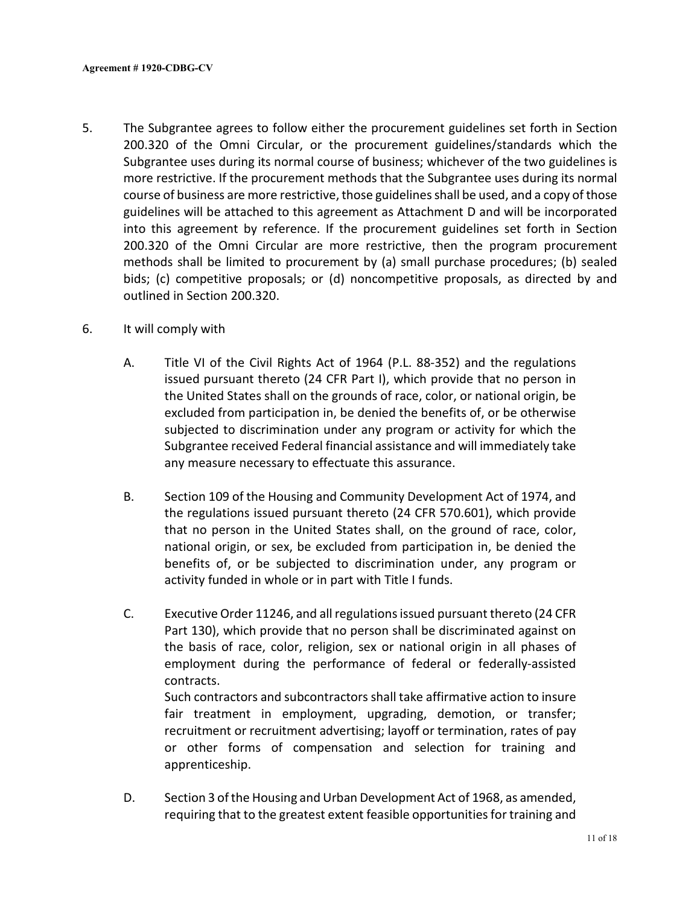- 5. The Subgrantee agrees to follow either the procurement guidelines set forth in Section 200.320 of the Omni Circular, or the procurement guidelines/standards which the Subgrantee uses during its normal course of business; whichever of the two guidelines is more restrictive. If the procurement methods that the Subgrantee uses during its normal course of business are more restrictive, those guidelines shall be used, and a copy of those guidelines will be attached to this agreement as Attachment D and will be incorporated into this agreement by reference. If the procurement guidelines set forth in Section 200.320 of the Omni Circular are more restrictive, then the program procurement methods shall be limited to procurement by (a) small purchase procedures; (b) sealed bids; (c) competitive proposals; or (d) noncompetitive proposals, as directed by and outlined in Section 200.320.
- 6. It will comply with
	- A. Title VI of the Civil Rights Act of 1964 (P.L. 88-352) and the regulations issued pursuant thereto (24 CFR Part I), which provide that no person in the United States shall on the grounds of race, color, or national origin, be excluded from participation in, be denied the benefits of, or be otherwise subjected to discrimination under any program or activity for which the Subgrantee received Federal financial assistance and will immediately take any measure necessary to effectuate this assurance.
	- B. Section 109 of the Housing and Community Development Act of 1974, and the regulations issued pursuant thereto (24 CFR 570.601), which provide that no person in the United States shall, on the ground of race, color, national origin, or sex, be excluded from participation in, be denied the benefits of, or be subjected to discrimination under, any program or activity funded in whole or in part with Title I funds.
	- C. Executive Order 11246, and all regulations issued pursuant thereto (24 CFR Part 130), which provide that no person shall be discriminated against on the basis of race, color, religion, sex or national origin in all phases of employment during the performance of federal or federally-assisted contracts.

Such contractors and subcontractors shall take affirmative action to insure fair treatment in employment, upgrading, demotion, or transfer; recruitment or recruitment advertising; layoff or termination, rates of pay or other forms of compensation and selection for training and apprenticeship.

D. Section 3 of the Housing and Urban Development Act of 1968, as amended, requiring that to the greatest extent feasible opportunities for training and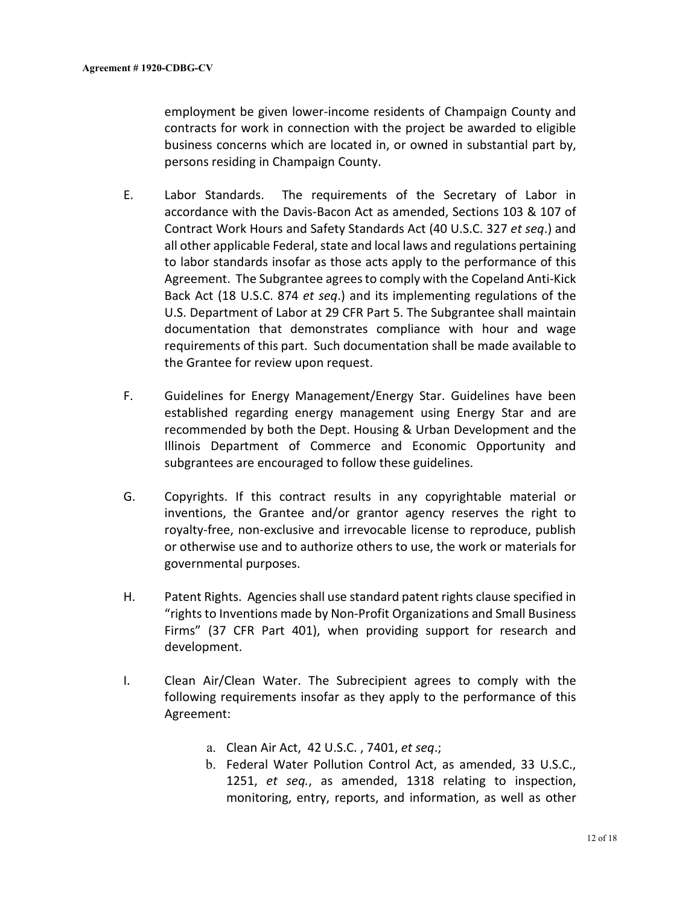employment be given lower-income residents of Champaign County and contracts for work in connection with the project be awarded to eligible business concerns which are located in, or owned in substantial part by, persons residing in Champaign County.

- E. Labor Standards. The requirements of the Secretary of Labor in accordance with the Davis-Bacon Act as amended, Sections 103 & 107 of Contract Work Hours and Safety Standards Act (40 U.S.C. 327 *et seq*.) and all other applicable Federal, state and local laws and regulations pertaining to labor standards insofar as those acts apply to the performance of this Agreement. The Subgrantee agrees to comply with the Copeland Anti-Kick Back Act (18 U.S.C. 874 *et seq*.) and its implementing regulations of the U.S. Department of Labor at 29 CFR Part 5. The Subgrantee shall maintain documentation that demonstrates compliance with hour and wage requirements of this part. Such documentation shall be made available to the Grantee for review upon request.
- F. Guidelines for Energy Management/Energy Star. Guidelines have been established regarding energy management using Energy Star and are recommended by both the Dept. Housing & Urban Development and the Illinois Department of Commerce and Economic Opportunity and subgrantees are encouraged to follow these guidelines.
- G. Copyrights. If this contract results in any copyrightable material or inventions, the Grantee and/or grantor agency reserves the right to royalty-free, non-exclusive and irrevocable license to reproduce, publish or otherwise use and to authorize others to use, the work or materials for governmental purposes.
- H. Patent Rights. Agencies shall use standard patent rights clause specified in "rights to Inventions made by Non-Profit Organizations and Small Business Firms" (37 CFR Part 401), when providing support for research and development.
- I. Clean Air/Clean Water. The Subrecipient agrees to comply with the following requirements insofar as they apply to the performance of this Agreement:
	- a. Clean Air Act, 42 U.S.C. , 7401, *et seq*.;
	- b. Federal Water Pollution Control Act, as amended, 33 U.S.C., 1251, *et seq.*, as amended, 1318 relating to inspection, monitoring, entry, reports, and information, as well as other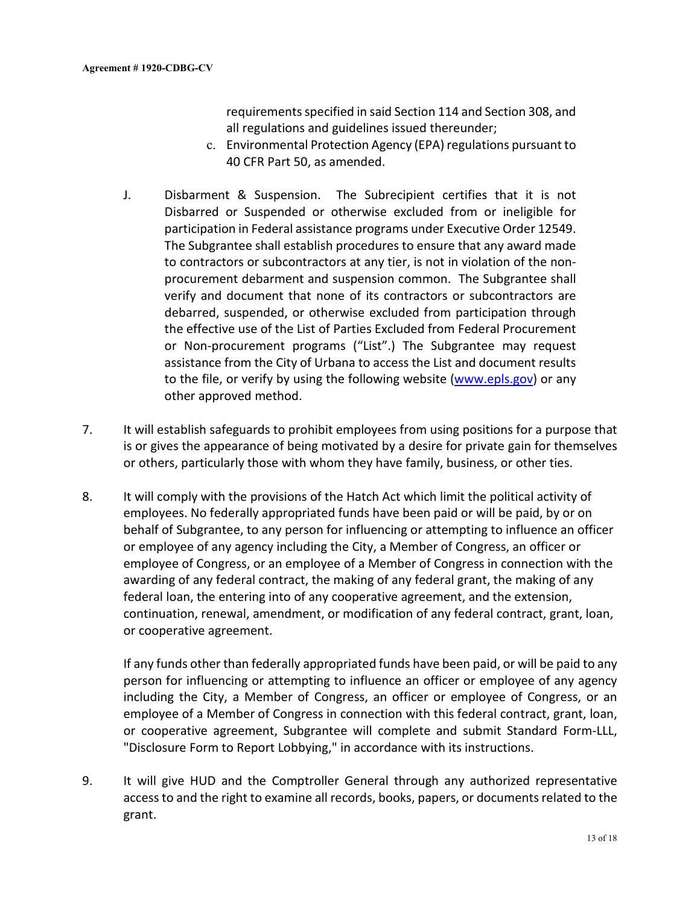requirements specified in said Section 114 and Section 308, and all regulations and guidelines issued thereunder;

- c. Environmental Protection Agency (EPA) regulations pursuant to 40 CFR Part 50, as amended.
- J. Disbarment & Suspension. The Subrecipient certifies that it is not Disbarred or Suspended or otherwise excluded from or ineligible for participation in Federal assistance programs under Executive Order 12549. The Subgrantee shall establish procedures to ensure that any award made to contractors or subcontractors at any tier, is not in violation of the nonprocurement debarment and suspension common. The Subgrantee shall verify and document that none of its contractors or subcontractors are debarred, suspended, or otherwise excluded from participation through the effective use of the List of Parties Excluded from Federal Procurement or Non-procurement programs ("List".) The Subgrantee may request assistance from the City of Urbana to access the List and document results to the file, or verify by using the following website [\(www.epls.gov\)](http://www.epls.gov/) or any other approved method.
- 7. It will establish safeguards to prohibit employees from using positions for a purpose that is or gives the appearance of being motivated by a desire for private gain for themselves or others, particularly those with whom they have family, business, or other ties.
- 8. It will comply with the provisions of the Hatch Act which limit the political activity of employees. No federally appropriated funds have been paid or will be paid, by or on behalf of Subgrantee, to any person for influencing or attempting to influence an officer or employee of any agency including the City, a Member of Congress, an officer or employee of Congress, or an employee of a Member of Congress in connection with the awarding of any federal contract, the making of any federal grant, the making of any federal loan, the entering into of any cooperative agreement, and the extension, continuation, renewal, amendment, or modification of any federal contract, grant, loan, or cooperative agreement.

If any funds other than federally appropriated funds have been paid, or will be paid to any person for influencing or attempting to influence an officer or employee of any agency including the City, a Member of Congress, an officer or employee of Congress, or an employee of a Member of Congress in connection with this federal contract, grant, loan, or cooperative agreement, Subgrantee will complete and submit Standard Form-LLL, "Disclosure Form to Report Lobbying," in accordance with its instructions.

9. It will give HUD and the Comptroller General through any authorized representative access to and the right to examine all records, books, papers, or documents related to the grant.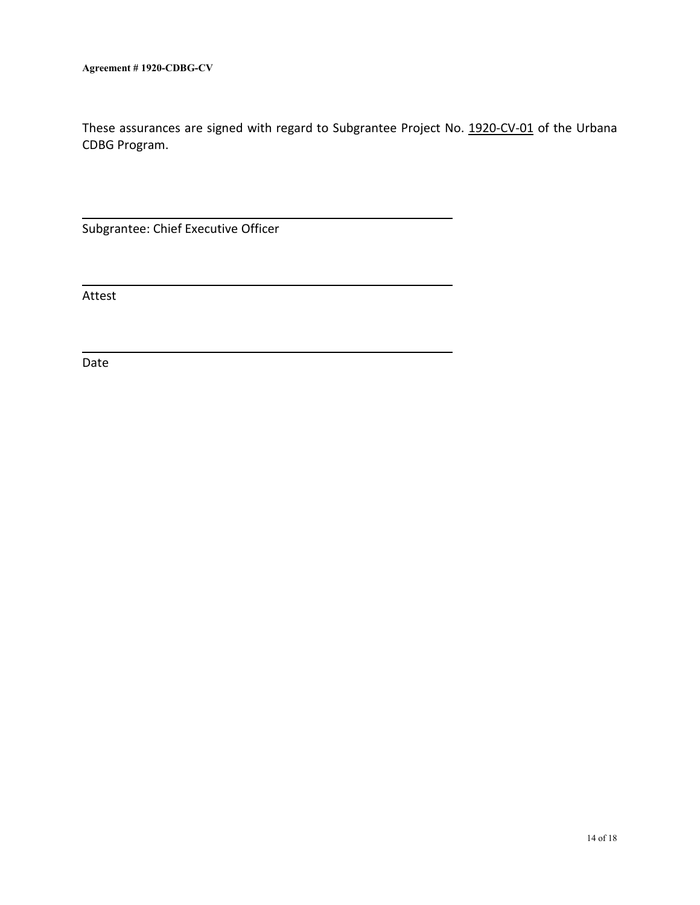These assurances are signed with regard to Subgrantee Project No. 1920-CV-01 of the Urbana CDBG Program.

Subgrantee: Chief Executive Officer

Attest

Date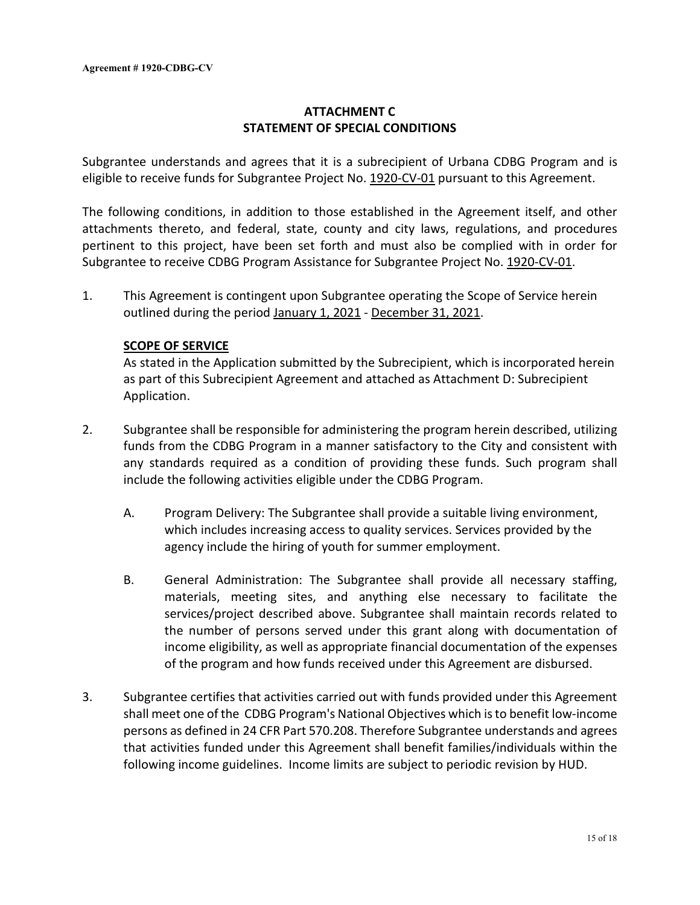# **ATTACHMENT C STATEMENT OF SPECIAL CONDITIONS**

Subgrantee understands and agrees that it is a subrecipient of Urbana CDBG Program and is eligible to receive funds for Subgrantee Project No. 1920-CV-01 pursuant to this Agreement.

The following conditions, in addition to those established in the Agreement itself, and other attachments thereto, and federal, state, county and city laws, regulations, and procedures pertinent to this project, have been set forth and must also be complied with in order for Subgrantee to receive CDBG Program Assistance for Subgrantee Project No. 1920-CV-01.

1. This Agreement is contingent upon Subgrantee operating the Scope of Service herein outlined during the period January 1, 2021 - December 31, 2021.

### **SCOPE OF SERVICE**

As stated in the Application submitted by the Subrecipient, which is incorporated herein as part of this Subrecipient Agreement and attached as Attachment D: Subrecipient Application.

- 2. Subgrantee shall be responsible for administering the program herein described, utilizing funds from the CDBG Program in a manner satisfactory to the City and consistent with any standards required as a condition of providing these funds. Such program shall include the following activities eligible under the CDBG Program.
	- A. Program Delivery: The Subgrantee shall provide a suitable living environment, which includes increasing access to quality services. Services provided by the agency include the hiring of youth for summer employment.
	- B. General Administration: The Subgrantee shall provide all necessary staffing, materials, meeting sites, and anything else necessary to facilitate the services/project described above. Subgrantee shall maintain records related to the number of persons served under this grant along with documentation of income eligibility, as well as appropriate financial documentation of the expenses of the program and how funds received under this Agreement are disbursed.
- 3. Subgrantee certifies that activities carried out with funds provided under this Agreement shall meet one of the CDBG Program's National Objectives which is to benefit low-income persons as defined in 24 CFR Part 570.208. Therefore Subgrantee understands and agrees that activities funded under this Agreement shall benefit families/individuals within the following income guidelines. Income limits are subject to periodic revision by HUD.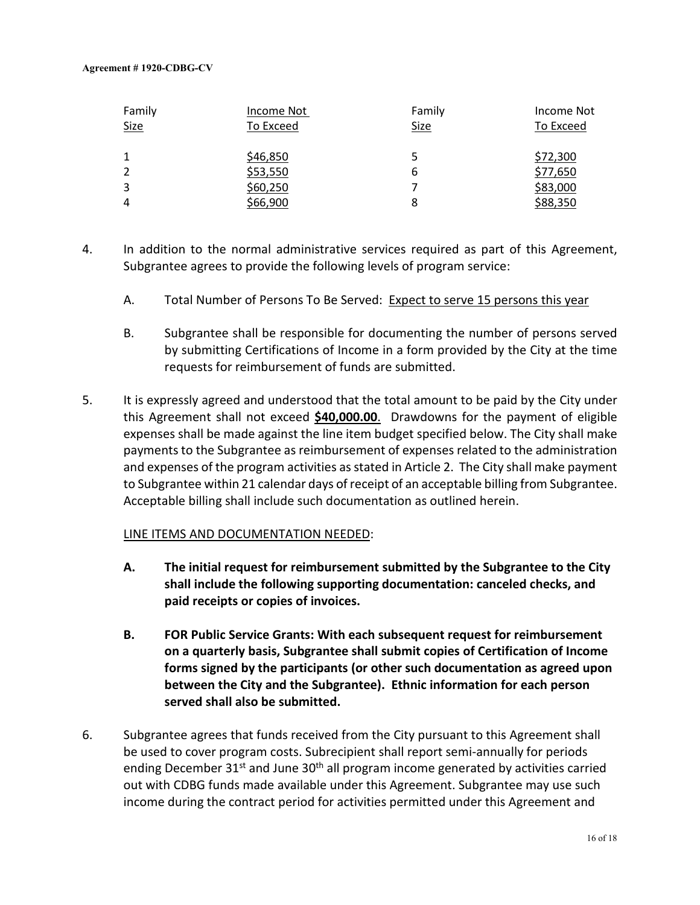| Family      | Income Not | Family | Income Not |
|-------------|------------|--------|------------|
| <b>Size</b> | To Exceed  | Size   | To Exceed  |
|             |            |        |            |
|             | \$46,850   | 5      | \$72,300   |
|             | \$53,550   | 6      | \$77,650   |
| 3           | \$60,250   |        | \$83,000   |
| 4           | \$66,900   | 8      | \$88,350   |

- 4. In addition to the normal administrative services required as part of this Agreement, Subgrantee agrees to provide the following levels of program service:
	- A. Total Number of Persons To Be Served: Expect to serve 15 persons this year
	- B. Subgrantee shall be responsible for documenting the number of persons served by submitting Certifications of Income in a form provided by the City at the time requests for reimbursement of funds are submitted.
- 5. It is expressly agreed and understood that the total amount to be paid by the City under this Agreement shall not exceed **\$40,000.00**. Drawdowns for the payment of eligible expenses shall be made against the line item budget specified below. The City shall make payments to the Subgrantee as reimbursement of expenses related to the administration and expenses of the program activities as stated in Article 2. The City shall make payment to Subgrantee within 21 calendar days of receipt of an acceptable billing from Subgrantee. Acceptable billing shall include such documentation as outlined herein.

## LINE ITEMS AND DOCUMENTATION NEEDED:

- **A. The initial request for reimbursement submitted by the Subgrantee to the City shall include the following supporting documentation: canceled checks, and paid receipts or copies of invoices.**
- **B. FOR Public Service Grants: With each subsequent request for reimbursement on a quarterly basis, Subgrantee shall submit copies of Certification of Income forms signed by the participants (or other such documentation as agreed upon between the City and the Subgrantee). Ethnic information for each person served shall also be submitted.**
- 6. Subgrantee agrees that funds received from the City pursuant to this Agreement shall be used to cover program costs. Subrecipient shall report semi-annually for periods ending December  $31^{st}$  and June  $30^{th}$  all program income generated by activities carried out with CDBG funds made available under this Agreement. Subgrantee may use such income during the contract period for activities permitted under this Agreement and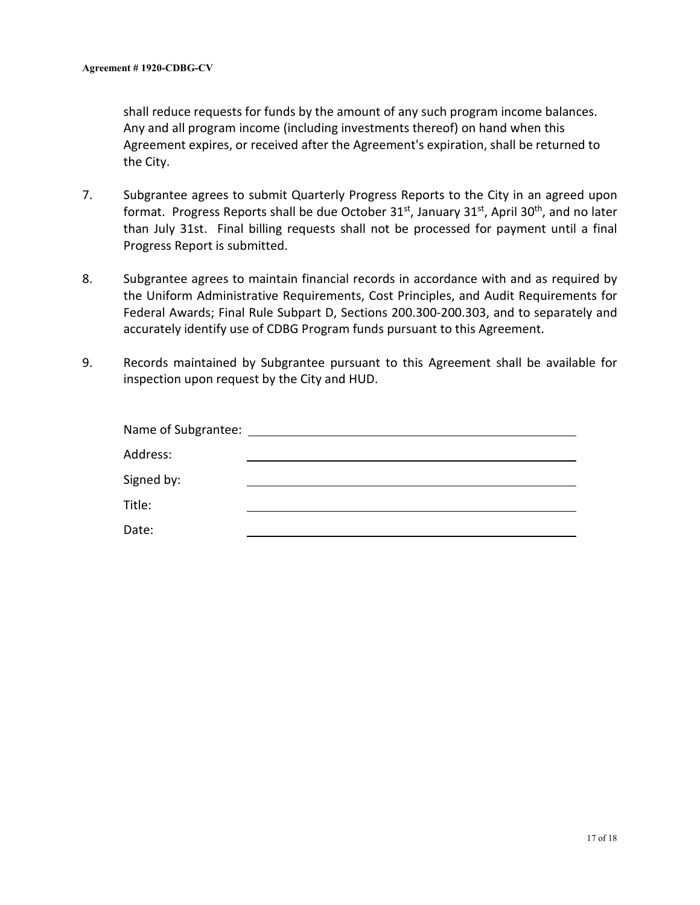shall reduce requests for funds by the amount of any such program income balances. Any and all program income (including investments thereof) on hand when this Agreement expires, or received after the Agreement's expiration, shall be returned to the City.

- 7. Subgrantee agrees to submit Quarterly Progress Reports to the City in an agreed upon format. Progress Reports shall be due October  $31^{st}$ , January  $31^{st}$ , April  $30^{th}$ , and no later than July 31st. Final billing requests shall not be processed for payment until a final Progress Report is submitted.
- 8. Subgrantee agrees to maintain financial records in accordance with and as required by the Uniform Administrative Requirements, Cost Principles, and Audit Requirements for Federal Awards; Final Rule Subpart D, Sections 200.300-200.303, and to separately and accurately identify use of CDBG Program funds pursuant to this Agreement.
- 9. Records maintained by Subgrantee pursuant to this Agreement shall be available for inspection upon request by the City and HUD.

| Name of Subgrantee: |  |
|---------------------|--|
| Address:            |  |
| Signed by:          |  |
| Title:              |  |
| Date:               |  |